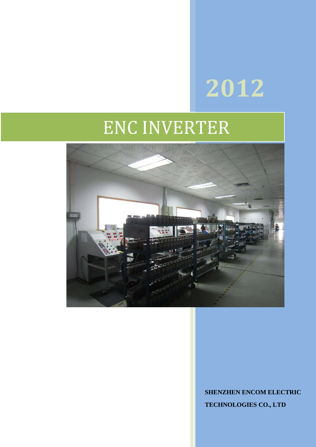# **2012**

## ENC INVERTER



**SHENZHEN ENCOM ELECTRIC TECHNOLOGIES CO., LTD**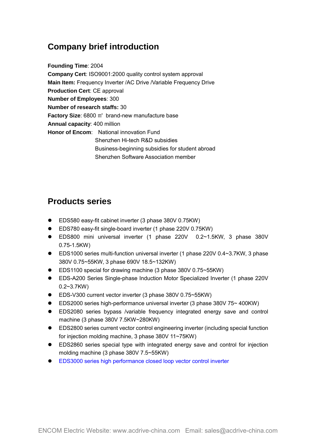## **Company brief introduction**

**Founding Time**: 2004 **Company Cert**: ISO9001:2000 quality control system approval **Main Item:** [Frequency Inverter](http://www.acdrive-china.com/products/frequency-inverter-manufacturer-2096.htm) /AC Drive /Variable Frequency Drive **Production Cert**: CE approval **Number of Employees**: 300 **Number of research staffs:** 30 **Factory Size**: 6800 ㎡ brand-new manufacture base **Annual capacity**: 400 million **Honor of Encom**: National innovation Fund Shenzhen Hi-tech R&D subsidies Business-beginning subsidies for student abroad Shenzhen Software Association member

## **Products series**

- EDS580 easy-fit cabinet inverter (3 phase 380V 0.75KW)
- EDS780 easy-fit single-board inverter (1 phase 220V 0.75KW)
- EDS800 mini universal inverter (1 phase 220V 0.2~1.5KW, 3 phase 380V 0.75-1.5KW)
- EDS1000 series multi-function universal inverter (1 phase 220V 0.4~3.7KW, 3 phase 380V 0.75~55KW, 3 phase 690V 18.5~132KW)
- EDS1100 special for drawing machine (3 phase 380V 0.75~55KW)
- EDS-A200 Series Single-phase Induction Motor Specialized Inverter (1 phase 220V 0.2~3.7KW)
- EDS-V300 current vector inverter (3 phase 380V 0.75~55KW)
- EDS2000 series high-performance universal inverter (3 phase 380V 75~ 400KW)
- EDS2080 series bypass /variable frequency integrated energy save and control machine (3 phase 380V 7.5KW~280KW)
- EDS2800 series current vector control engineering inverter (including special function for injection molding machine, 3 phase 380V 11~75KW)
- [EDS2860 series special type with integrated energy save and control for injection](http://www.acdrive-china.com/products/special-frequency-inverter-for-injection-molding-machine-1263.htm)  molding machine (3 phase 380V 7.5~55KW)
- EDS3000 series high performance closed loop vector control inverter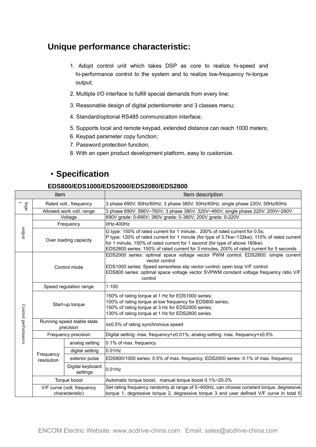## **Unique performance characteristic:**

- 1. Adopt control unit which takes DSP as core to realize hi-speed and hi-performance control to the system and to realize low-frequency hi-torque output;
- 2. Multiple I/O interface to fulfill special demands from every line;
- 3. Reasonable design of digital potentiometer and 3 classes menu;
- 4. Standard/optional RS485 communication interface;
- 5. Supports local and remote keypad, extended distance can reach 1000 meters;
- 6. Keypad parameter copy function;
- 7. Password protection function;
- 8. With an open product development platform, easy to customize.

## ·**Specification**

#### **EDS800/EDS1000/EDS2000/EDS2080/EDS2800**

| item                |                                               |                              | Item description                                                                                                                                                                                                                                                                                                                                     |  |  |
|---------------------|-----------------------------------------------|------------------------------|------------------------------------------------------------------------------------------------------------------------------------------------------------------------------------------------------------------------------------------------------------------------------------------------------------------------------------------------------|--|--|
| ndq                 | Rated volt., frequency                        |                              | 3 phase 690V, 50Hz/60Hz; 3 phase 380V, 50Hz/60Hz; single phase 220V, 50Hz/60Hz                                                                                                                                                                                                                                                                       |  |  |
|                     | Allowed work volt. range                      |                              | 3 phase 690V: 586V~760V; 3 phase 380V: 320V~460V; single phase 220V: 200V~260V                                                                                                                                                                                                                                                                       |  |  |
| ndno                | Voltage                                       |                              | 690V grade: 0-690V; 380V grade: 0-380V; 200V grade: 0-220V                                                                                                                                                                                                                                                                                           |  |  |
|                     | Frequency                                     |                              | 0Hz-400Hz                                                                                                                                                                                                                                                                                                                                            |  |  |
|                     | Over loading capacity                         |                              | G type: 150% of rated current for 1 minute, 200% of rated current for 0.5s;<br>P type: 120% of rated current for 1 minute (for type of 3.7kw~132kw); 110% of rated current<br>for 1 minute, 150% of rated current for 1 second (for type of above 160kw)<br>EDS2800 series: 150% of rated current for 3 minutes, 200% of rated current for 5 seconds |  |  |
|                     | Control mode                                  |                              | EDS2000 series: optimal space voltage vector PWM control; EDS2800: simple current<br>vector control<br>EDS1000 series: Speed sensorless slip vector control, open loop V/F control<br>EDS800 series: optimal space voltage vector SVPWM constant voltage frequency ratio V/F<br>control                                                              |  |  |
|                     | Speed regulation range                        |                              | 1:100                                                                                                                                                                                                                                                                                                                                                |  |  |
| Control performance | Start-up torque                               |                              | 150% of rating torque at 1 Hz for EDS1000 series;<br>100% of rating torque at low frequency for EDS800 series;<br>150% of rating torque at 3 Hz for EDS2000 series;<br>130% of rating torque at 1 Hz for EDS2800 series.                                                                                                                             |  |  |
|                     | Running speed stable state<br>precision       |                              | ≤±0.5% of rating synchronous speed                                                                                                                                                                                                                                                                                                                   |  |  |
|                     | Frequency precision                           |                              | Digital setting: max. frequency×±0.01%; analog setting: max. frequency×±0.5%                                                                                                                                                                                                                                                                         |  |  |
|                     | Frequency<br>resolution                       | analog setting               | 0.1% of max. frequency                                                                                                                                                                                                                                                                                                                               |  |  |
|                     |                                               | digital setting              | 0.01Hz                                                                                                                                                                                                                                                                                                                                               |  |  |
|                     |                                               | exterior pulse               | EDS800/1000 series: 0.5% of max. frequency; EDS2000 series: 0.1% of max. frequency                                                                                                                                                                                                                                                                   |  |  |
|                     |                                               | Digital keyboard<br>settings | 0.01Hz                                                                                                                                                                                                                                                                                                                                               |  |  |
|                     | Torque boost                                  |                              | Automatic torque boost, manual torque boost 0.1%~20.0%                                                                                                                                                                                                                                                                                               |  |  |
|                     | V/F curve (volt. frequency<br>characteristic) |                              | Set rating frequency randomly at range of 5~400Hz, can choose constant torque, degressive<br>torque 1, degressive torque 2, degressive torque 3 and user defined V/F curve in total 5                                                                                                                                                                |  |  |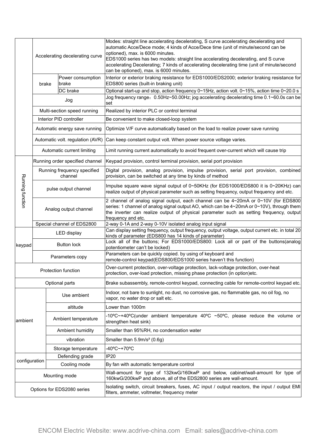|                  | Accelerating decelerating curve        |                                 |                                                                                                                                                         | Modes: straight line accelerating decelerating, S curve accelerating decelerating and<br>automatic Acce/Dece mode; 4 kinds of Acce/Dece time (unit of minute/second can be<br>optioned), max. is 6000 minutes.<br>EDS1000 series has two models: straight line accelerating decelerating, and S curve<br>accelerating Decelerating; 7 kinds of accelerating decelerating time (unit of minute/second<br>can be optioned), max. is 6000 minutes. |
|------------------|----------------------------------------|---------------------------------|---------------------------------------------------------------------------------------------------------------------------------------------------------|-------------------------------------------------------------------------------------------------------------------------------------------------------------------------------------------------------------------------------------------------------------------------------------------------------------------------------------------------------------------------------------------------------------------------------------------------|
|                  | Power consumption<br>brake<br>brake    |                                 |                                                                                                                                                         | Interior or exterior braking resistance for EDS1000/EDS2000; exterior braking resistance for<br>EDS800 series (built-in braking unit)                                                                                                                                                                                                                                                                                                           |
|                  |                                        |                                 | DC brake                                                                                                                                                | Optional start-up and stop, action frequency 0~15Hz, action volt. 0~15%, action time 0~20.0 s                                                                                                                                                                                                                                                                                                                                                   |
|                  | Jog                                    |                                 |                                                                                                                                                         | Jog frequency range: 0.50Hz~50.00Hz; jog accelerating decelerating time 0.1~60.0s can be<br>set                                                                                                                                                                                                                                                                                                                                                 |
|                  | Multi-section speed running            |                                 |                                                                                                                                                         | Realized by interior PLC or control terminal                                                                                                                                                                                                                                                                                                                                                                                                    |
|                  | Interior PID controller                |                                 |                                                                                                                                                         | Be convenient to make closed-loop system                                                                                                                                                                                                                                                                                                                                                                                                        |
|                  | Automatic energy save running          |                                 |                                                                                                                                                         | Optimize V/F curve automatically based on the load to realize power save running                                                                                                                                                                                                                                                                                                                                                                |
|                  | Automatic volt. regulation (AVR)       |                                 |                                                                                                                                                         | Can keep constant output volt. When power source voltage varies.                                                                                                                                                                                                                                                                                                                                                                                |
|                  | Automatic current limiting             |                                 |                                                                                                                                                         | Limit running current automatically to avoid frequent over-current which will cause trip                                                                                                                                                                                                                                                                                                                                                        |
|                  |                                        | Running order specified channel |                                                                                                                                                         | Keypad provision, control terminal provision, serial port provision                                                                                                                                                                                                                                                                                                                                                                             |
|                  | Running frequency specified<br>channel |                                 |                                                                                                                                                         | Digital provision, analog provision, impulse provision, serial port provision, combined<br>provision, can be switched at any time by kinds of method                                                                                                                                                                                                                                                                                            |
| Running function | pulse output channel                   |                                 |                                                                                                                                                         | Impulse square wave signal output of 0~50KHz (for EDS1000/EDS800 it is 0~20KHz) can<br>realize output of physical parameter such as setting frequency, output frequency and etc.                                                                                                                                                                                                                                                                |
|                  | Analog output channel                  |                                 |                                                                                                                                                         | 2 channel of analog signal output, each channel can be 4~20mA or 0~10V (for EDS800)<br>series: 1 channel of analog signal output AO, which can be $4 \sim 20 \text{mA}$ or $0 \sim 10 \text{V}$ ), through them<br>the inverter can realize output of physical parameter such as setting frequency, output<br>frequency and etc.                                                                                                                |
|                  | Special channel of EDS2800             |                                 |                                                                                                                                                         | 2-way 0-1A and 2-way 0-10V isolated analog input signal                                                                                                                                                                                                                                                                                                                                                                                         |
|                  | LED display                            |                                 |                                                                                                                                                         | Can display setting frequency, output frequency, output voltage, output current etc. in total 20<br>kinds of parameter (EDS800 has 14 kinds of parameter)                                                                                                                                                                                                                                                                                       |
| keypad           | <b>Button lock</b>                     |                                 |                                                                                                                                                         | Lock all of the buttons; For EDS1000/EDS800: Lock all or part of the buttons(analog)<br>potentiometer can't be locked)                                                                                                                                                                                                                                                                                                                          |
|                  | Parameters copy                        |                                 |                                                                                                                                                         | Parameters can be quickly copied. by using of keyboard and<br>remote-control keypad(EDS800/EDS1000 series haven't this function)                                                                                                                                                                                                                                                                                                                |
|                  | Protection function                    |                                 |                                                                                                                                                         | Over-current protection, over-voltage protection, lack-voltage protection, over-heat<br>protection, over-load protection, missing phase protection (in option)etc.                                                                                                                                                                                                                                                                              |
|                  |                                        |                                 | Optional parts                                                                                                                                          | Brake subassembly, remote-control keypad, connecting cable for remote-control keypad etc.                                                                                                                                                                                                                                                                                                                                                       |
|                  |                                        |                                 | Use ambient                                                                                                                                             | Indoor, not bare to sunlight, no dust, no corrosive gas, no flammable gas, no oil fog, no<br>vapor, no water drop or salt etc.                                                                                                                                                                                                                                                                                                                  |
|                  |                                        |                                 | altitude                                                                                                                                                | Lower than 1000m                                                                                                                                                                                                                                                                                                                                                                                                                                |
| ambient          |                                        |                                 | Ambient temperature                                                                                                                                     | -10°C~+40°C(under ambient temperature 40°C ~50°C, please reduce the volume or<br>strengthen heat sink)                                                                                                                                                                                                                                                                                                                                          |
|                  |                                        |                                 | Ambient humidity                                                                                                                                        | Smaller than 95%RH, no condensation water                                                                                                                                                                                                                                                                                                                                                                                                       |
|                  |                                        | vibration                       |                                                                                                                                                         | Smaller than 5.9m/s <sup>2</sup> (0.6g)                                                                                                                                                                                                                                                                                                                                                                                                         |
|                  |                                        |                                 | Storage temperature                                                                                                                                     | -40°C~+70°C                                                                                                                                                                                                                                                                                                                                                                                                                                     |
|                  | Defending grade<br>Cooling mode        |                                 |                                                                                                                                                         | <b>IP20</b>                                                                                                                                                                                                                                                                                                                                                                                                                                     |
| configuration    |                                        |                                 |                                                                                                                                                         | By fan with automatic temperature control                                                                                                                                                                                                                                                                                                                                                                                                       |
| Mounting mode    |                                        |                                 | Wall-amount for type of 132kwG/160kwP and below, cabinet/wall-amount for type of<br>160kwG/200kwP and above, all of the EDS2800 series are wall-amount. |                                                                                                                                                                                                                                                                                                                                                                                                                                                 |
|                  | Options for EDS2080 series             |                                 |                                                                                                                                                         | Isolating switch, circuit breakers, fuses, AC input / output reactors, the input / output EMI<br>filters, ammeter, voltmeter, frequency meter                                                                                                                                                                                                                                                                                                   |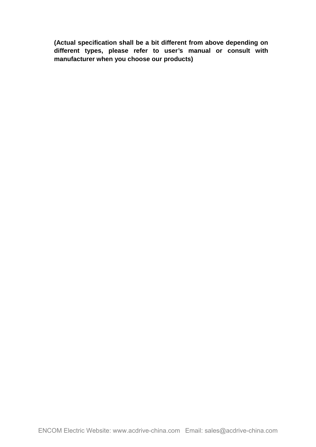**(Actual specification shall be a bit different from above depending on different types, please refer to user's manual or consult with manufacturer when you choose our products)**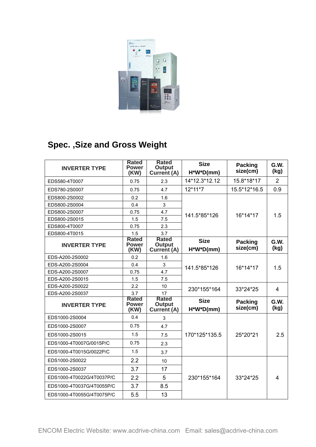

## **Spec. ,Size and Gross Weight**

| <b>INVERTER TYPE</b>      | Rated<br><b>Power</b><br>(KW)        | <b>Rated</b><br><b>Output</b><br><b>Current (A)</b> | <b>Size</b><br>H*W*D(mm)     | <b>Packing</b><br>size(cm) | G.W.<br>(kg)   |
|---------------------------|--------------------------------------|-----------------------------------------------------|------------------------------|----------------------------|----------------|
| EDS580-4T0007             | 0.75                                 | 2.3                                                 | 14*12.3*12.12                | 15.8*18*17                 | $\overline{2}$ |
| EDS780-2S0007             | 0.75                                 | 4.7                                                 | 12*11*7                      | 15.5*12*16.5               | 0.9            |
| EDS800-2S0002             | 0.2                                  | 1.6                                                 | 141.5*85*126                 | 16*14*17                   | 1.5            |
| EDS800-2S0004             | 0.4                                  | 3                                                   |                              |                            |                |
| EDS800-2S0007             | 0.75                                 | 4.7                                                 |                              |                            |                |
| EDS800-2S0015             | 1.5                                  | 7.5                                                 |                              |                            |                |
| EDS800-4T0007             | 0.75                                 | 2.3                                                 |                              |                            |                |
| EDS800-4T0015             | 1.5                                  | 3.7                                                 |                              |                            |                |
| <b>INVERTER TYPE</b>      | <b>Rated</b><br><b>Power</b><br>(KW) | <b>Rated</b><br><b>Output</b><br>Current (A)        | <b>Size</b><br>$H^*W^*D(mm)$ | <b>Packing</b><br>size(cm) | G.W.<br>(kg)   |
| EDS-A200-2S0002           | 0.2                                  | 1.6                                                 |                              |                            | 1.5            |
| EDS-A200-2S0004           | 0.4                                  | 3                                                   | 141.5*85*126                 | 16*14*17                   |                |
| EDS-A200-2S0007           | 0.75                                 | 4.7                                                 |                              |                            |                |
| EDS-A200-2S0015           | 1.5                                  | 7.5                                                 |                              |                            |                |
| EDS-A200-2S0022           | 2.2                                  | 10                                                  | 230*155*164                  | 33*24*25                   | 4              |
| EDS-A200-2S0037           | 3.7                                  | 17                                                  |                              |                            |                |
| <b>INVERTER TYPE</b>      | <b>Rated</b><br><b>Power</b><br>(KW) | <b>Rated</b><br><b>Output</b><br><b>Current (A)</b> | <b>Size</b><br>$H^*W^*D(mm)$ | <b>Packing</b><br>size(cm) | G.W.<br>(kg)   |
| EDS1000-2S0004            | 0.4                                  | 3                                                   |                              |                            |                |
| EDS1000-2S0007            | 0.75                                 | 4.7                                                 |                              |                            | 2.5            |
| EDS1000-2S0015            | 1.5                                  | 7.5                                                 | 170*125*135.5                | 25*20*21                   |                |
| EDS1000-4T0007G/0015P/C   | 0.75                                 | 2.3                                                 |                              |                            |                |
| EDS1000-4T0015G/0022P/C   | 1.5                                  | 3.7                                                 |                              |                            |                |
| EDS1000-2S0022            | 2.2                                  | 10                                                  |                              |                            |                |
| EDS1000-2S0037            | 3.7                                  | 17                                                  | 230*155*164<br>33*24*25      |                            | $\overline{4}$ |
| EDS1000-4T0022G/4T0037P/C | 2.2                                  | 5                                                   |                              |                            |                |
| EDS1000-4T0037G/4T0055P/C | 3.7                                  | 8.5                                                 |                              |                            |                |
| EDS1000-4T0055G/4T0075P/C | 5.5                                  | 13                                                  |                              |                            |                |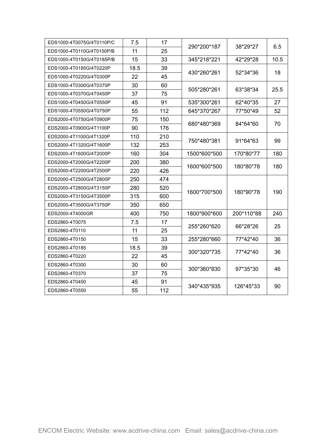| EDS1000-4T0075G/4T0110P/C | 7.5  | 17  | 290*200*187  | 38*29*27   | 6.5  |
|---------------------------|------|-----|--------------|------------|------|
| EDS1000-4T0110G/4T0150P/B | 11   | 25  |              |            |      |
| EDS1000-4T0150G/4T0185P/B | 15   | 33  | 345*218*221  | 42*29*28   | 10.5 |
| EDS1000-4T0185G/4T0220P   | 18.5 | 39  | 430*260*261  | 52*34*36   | 18   |
| EDS1000-4T0220G/4T0300P   | 22   | 45  |              |            |      |
| EDS1000-4T0300G/4T0370P   | 30   | 60  | 505*280*261  | 63*38*34   | 25.5 |
| EDS1000-4T0370G/4T0450P   | 37   | 75  |              |            |      |
| EDS1000-4T0450G/4T0550P   | 45   | 91  | 535*300*261  | 62*40*35   | 27   |
| EDS1000-4T0550G/4T0750P   | 55   | 112 | 645*370*267  | 77*50*49   | 52   |
| EDS2000-4T0750G/4T0900P   | 75   | 150 | 680*480*369  | 84*64*60   | 70   |
| EDS2000-4T0900G/4T1100P   | 90   | 176 |              |            |      |
| EDS2000-4T1100G/4T1320P   | 110  | 210 |              | 91*64*63   | 99   |
| EDS2000-4T1320G/4T1600P   | 132  | 253 | 750*480*381  |            |      |
| EDS2000-4T1600G/4T2000P   | 160  | 304 | 1500*600*500 | 170*80*77  | 180  |
| EDS2000-4T2000G/4T2200P   | 200  | 380 | 1600*600*500 | 180*80*78  | 180  |
| EDS2000-4T2200G/4T2500P   | 220  | 426 |              |            |      |
| EDS2000-4T2500G/4T2800P   | 250  | 474 |              | 180*90*78  | 190  |
| EDS2000-4T2800G/4T3150P   | 280  | 520 | 1600*700*500 |            |      |
| EDS2000-4T3150G/4T3500P   | 315  | 600 |              |            |      |
| EDS2000-4T3500G/4T3750P   | 350  | 650 |              |            |      |
| EDS2000-4T4000GR          | 400  | 750 | 1800*900*600 | 200*110*88 | 240  |
| EDS2860-4T0075            | 7.5  | 17  |              |            | 25   |
| EDS2860-4T0110            | 11   | 25  | 255*260*620  | 66*28*26   |      |
| EDS2860-4T0150            | 15   | 33  | 255*280*660  | 77*42*40   | 36   |
| EDS2860-4T0185            | 18.5 | 39  |              | 77*42*40   | 36   |
| EDS2860-4T0220            | 22   | 45  | 300*320*735  |            |      |
| EDS2860-4T0300            | 30   | 60  | 300*360*830  | 97*35*30   | 46   |
| EDS2860-4T0370            | 37   | 75  |              |            |      |
| EDS2860-4T0450            | 45   | 91  | 340*435*935  | 126*45*33  | 90   |
| EDS2860-4T0550            | 55   | 112 |              |            |      |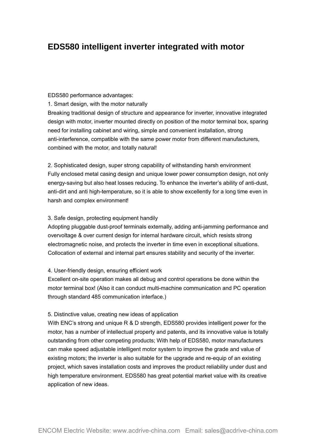## **EDS580 intelligent inverter integrated with motor**

#### EDS580 performance advantages:

1. Smart design, with the motor naturally

Breaking traditional design of structure and appearance for inverter, innovative integrated design with motor, inverter mounted directly on position of the motor terminal box, sparing need for installing cabinet and wiring, simple and convenient installation, strong anti-interference, compatible with the same power motor from different manufacturers, combined with the motor, and totally natural!

2. Sophisticated design, super strong capability of withstanding harsh environment Fully enclosed metal casing design and unique lower power consumption design, not only energy-saving but also heat losses reducing. To enhance the inverter's ability of anti-dust, anti-dirt and anti high-temperature, so it is able to show excellently for a long time even in harsh and complex environment!

#### 3. Safe design, protecting equipment handily

Adopting pluggable dust-proof terminals externally, adding anti-jamming performance and overvoltage & over current design for internal hardware circuit, which resists strong electromagnetic noise, and protects the inverter in time even in exceptional situations. Collocation of external and internal part ensures stability and security of the inverter.

#### 4. User-friendly design, ensuring efficient work

Excellent on-site operation makes all debug and control operations be done within the motor terminal box! (Also it can conduct multi-machine communication and PC operation through standard 485 communication interface.)

#### 5. Distinctive value, creating new ideas of application

With ENC's strong and unique R & D strength, EDS580 provides intelligent power for the motor, has a number of intellectual property and patents, and its innovative value is totally outstanding from other competing products; With help of EDS580, motor manufacturers can make speed adjustable intelligent motor system to improve the grade and value of existing motors; the inverter is also suitable for the upgrade and re-equip of an existing project, which saves installation costs and improves the product reliability under dust and high temperature environment. EDS580 has great potential market value with its creative application of new ideas.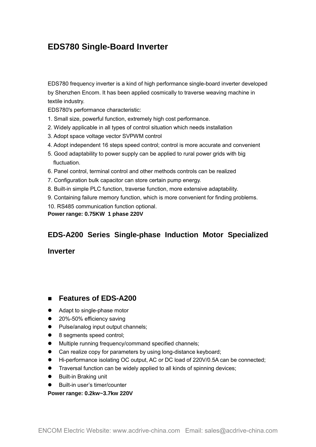## **EDS780 Single-Board Inverter**

EDS780 [frequency inverter](http://www.acdrive-china.com/products/frequency-inverter-manufacturer-2096.htm) is a kind of high performance single-board inverter developed by Shenzhen Encom. It has been applied cosmically to traverse weaving machine in textile industry.

EDS780's performance characteristic:

- 1. Small size, powerful function, extremely high cost performance.
- 2. Widely applicable in all types of control situation which needs installation
- 3. Adopt space voltage vector SVPWM control
- 4. Adopt independent 16 steps speed control; control is more accurate and convenient
- 5. Good adaptability to power supply can be applied to rural power grids with big fluctuation.
- 6. Panel control, terminal control and other methods controls can be realized
- 7. Configuration bulk capacitor can store certain pump energy.
- 8. Built-in simple PLC function, traverse function, more extensive adaptability.
- 9. Containing failure memory function, which is more convenient for finding problems.
- 10. RS485 communication function optional.
- **Power range: 0.75KW 1 phase 220V**

## **EDS-A200 Series Single-phase Induction Motor Specialized**

#### **Inverter**

#### **Features of EDS-A200**

- Adapt to single-phase motor
- 20%-50% efficiency saving
- Pulse/analog input output channels;
- 8 segments speed control;
- $\bullet$  Multiple running frequency/command specified channels;
- Can realize copy for parameters by using long-distance keyboard;
- Hi-performance isolating OC output, AC or DC load of 220V/0.5A can be connected;
- **Traversal function can be widely applied to all kinds of spinning devices;**
- Built-in [Braking unit](http://www.acdrive-china.com/products/brake-unit-8512.htm)
- Built-in user's timer/counter

**Power range: 0.2kw~3.7kw 220V**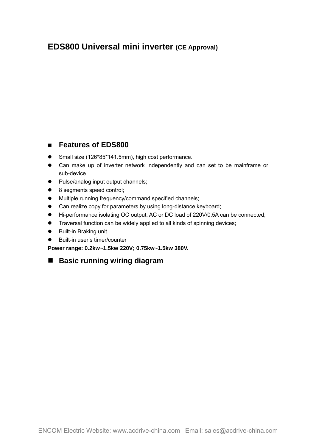## **EDS800 Universal mini inverter (CE Approval)**

#### **Features of EDS800**

- Small size (126\*85\*141.5mm), high cost performance.
- Can make up of inverter network independently and can set to be mainframe or sub-device
- Pulse/analog input output channels;
- 8 segments speed control;
- $\bullet$  Multiple running frequency/command specified channels;
- Can realize copy for parameters by using long-distance keyboard;
- Hi-performance isolating OC output, AC or DC load of 220V/0.5A can be connected;
- Traversal function can be widely applied to all kinds of spinning devices;
- Built-in Braking unit
- Built-in user's timer/counter

**Power range: 0.2kw~1.5kw 220V; 0.75kw~1.5kw 380V.**

## **Basic running wiring diagram**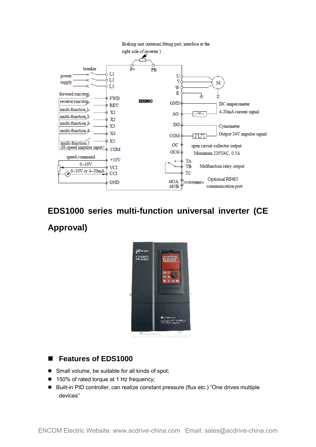

## **EDS1000 series multi-function universal inverter (CE Approval)**



#### ■ Features of EDS1000

- Small volume, be suitable for all kinds of spot;
- 150% of rated torque at 1 Hz frequency;
- Built-in PID controller, can realize constant pressure (flux etc.) "One drives multiple devices"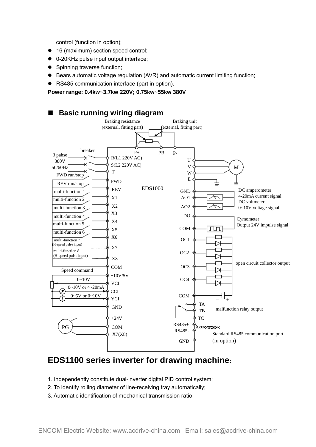control (function in option);

- 16 (maximum) section speed control;
- 0-20KHz pulse input output interface;
- Spinning traverse function;
- Bears automatic voltage regulation (AVR) and automatic current limiting function;
- RS485 communication interface (part in option).

**Power range: 0.4kw~3.7kw 220V; 0.75kw~55kw 380V**



## **EDS1100 series inverter for drawing machine:**

- 1. Independently constitute dual-inverter digital PID control system;
- 2. To identify rolling diameter of line-receiving tray automatically;
- 3. Automatic identification of mechanical transmission ratio;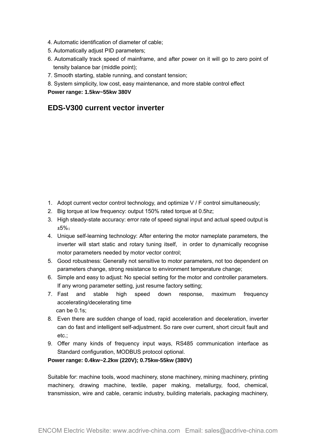- 4. Automatic identification of diameter of cable;
- 5. Automatically adjust PID parameters;
- 6. Automatically track speed of mainframe, and after power on it will go to zero point of tensity balance bar (middle point);
- 7. Smooth starting, stable running, and constant tension;
- 8. System simplicity, low cost, easy maintenance, and more stable control effect

#### **Power range: 1.5kw~55kw 380V**

#### **EDS-V300 current vector inverter**

- 1. Adopt current vector control technology, and optimize V / F control simultaneously;
- 2. Big torque at low frequency: output 150% rated torque at 0.5hz;
- 3. High steady-state accuracy: error rate of speed signal input and actual speed output is ±5%;
- 4. Unique self-learning technology: After entering the motor nameplate parameters, the inverter will start static and rotary tuning itself, in order to dynamically recognise motor parameters needed by motor vector control;
- 5. Good robustness: Generally not sensitive to motor parameters, not too dependent on parameters change, strong resistance to environment temperature change;
- 6. Simple and easy to adjust: No special setting for the motor and controller parameters. If any wrong parameter setting, just resume factory setting;
- 7. Fast and stable high speed down response, maximum frequency accelerating/decelerating time can be 0.1s;
- 8. Even there are sudden change of load, rapid acceleration and deceleration, inverter can do fast and intelligent self-adjustment. So rare over current, short circuit fault and etc.;
- 9. Offer many kinds of frequency input ways, RS485 communication interface as Standard configuration, MODBUS protocol optional.

#### **Power range: 0.4kw~2.2kw (220V); 0.75kw-55kw (380V)**

Suitable for: machine tools, wood machinery, stone machinery, mining machinery, printing machinery, drawing machine, textile, paper making, metallurgy, food, chemical, transmission, wire and cable, ceramic industry, building materials, packaging machinery,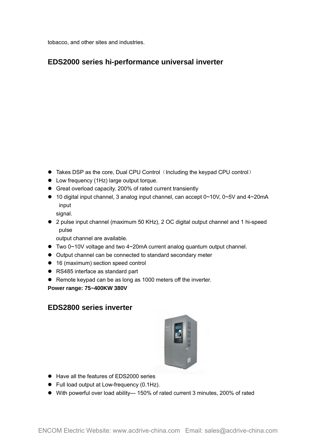tobacco, and other sites and industries.

### **EDS2000 series hi-performance universal inverter**

- Takes DSP as the core, Dual CPU Control (Including the keypad CPU control)
- Low frequency (1Hz) large output torque.
- Great overload capacity. 200% of rated current transiently
- 10 digital input channel, 3 analog input channel, can accept 0~10V, 0~5V and 4~20mA input
	- signal.
- 2 pulse input channel (maximum 50 KHz), 2 OC digital output channel and 1 hi-speed pulse

output channel are available.

- Two 0~10V voltage and two 4~20mA current analog quantum output channel.
- Output channel can be connected to standard secondary meter
- 16 (maximum) section speed control
- RS485 interface as standard part
- Remote keypad can be as long as 1000 meters off the inverter.

**Power range: 75~400KW 380V**

#### **EDS2800 series inverter**



- Have all the features of EDS2000 series
- Full load output at Low-frequency (0.1Hz).
- With powerful over load ability--- 150% of rated current 3 minutes, 200% of rated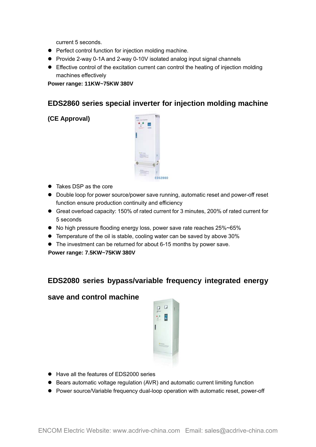current 5 seconds.

- Perfect control function for injection molding machine.
- Provide 2-way 0-1A and 2-way 0-10V isolated analog input signal channels
- Effective control of the excitation current can control the heating of injection molding machines effectively

#### **Power range: 11KW~75KW 380V**

#### **EDS2860 series special inverter for injection molding machine**

**(CE Approval)**



- Takes DSP as the core
- Double loop for power source/power save running, automatic reset and power-off reset function ensure production continuity and efficiency
- Great overload capacity: 150% of rated current for 3 minutes, 200% of rated current for 5 seconds
- No high pressure flooding energy loss, power save rate reaches 25%~65%
- Temperature of the oil is stable, cooling water can be saved by above 30%
- The investment can be returned for about 6-15 months by power save.

**Power range: 7.5KW~75KW 380V**

#### **EDS2080 series bypass/variable frequency integrated energy**

#### **save and control machine**



- Have all the features of EDS2000 series
- Bears automatic voltage regulation (AVR) and automatic current limiting function
- Power source/Variable frequency dual-loop operation with automatic reset, power-off